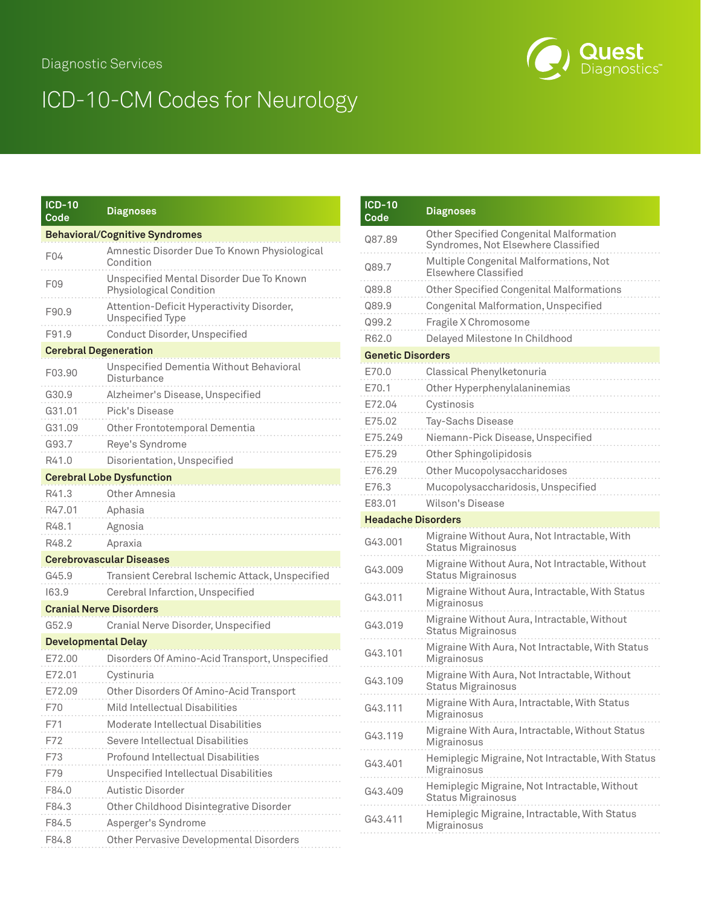## Diagnostic Services

## ICD-10-CM Codes for Neurology

| <b>ICD-10</b><br>Code        | <b>Diagnoses</b>                                                    |
|------------------------------|---------------------------------------------------------------------|
|                              | <b>Behavioral/Cognitive Syndromes</b>                               |
| F04                          | Amnestic Disorder Due To Known Physiological<br>Condition           |
| F <sub>09</sub>              | Unspecified Mental Disorder Due To Known<br>Physiological Condition |
| F90.9                        | Attention-Deficit Hyperactivity Disorder,<br>Unspecified Type       |
| F91.9                        | Conduct Disorder, Unspecified                                       |
| <b>Cerebral Degeneration</b> |                                                                     |
| F03.90                       | Unspecified Dementia Without Behavioral<br>Disturbance              |
| G30.9                        | Alzheimer's Disease, Unspecified                                    |
| G31.01                       | Pick's Disease                                                      |
| G31.09                       | Other Frontotemporal Dementia                                       |
| G93.7                        | Reye's Syndrome                                                     |
| R41.0                        | Disorientation, Unspecified                                         |
|                              | <b>Cerebral Lobe Dysfunction</b>                                    |
| R41.3                        | Other Amnesia                                                       |
| R47.01                       | Aphasia                                                             |
| R48.1                        | Agnosia                                                             |
| R48.2                        | Apraxia                                                             |
|                              | <b>Cerebrovascular Diseases</b>                                     |
| G45.9                        | Transient Cerebral Ischemic Attack, Unspecified                     |
| 163.9                        | Cerebral Infarction, Unspecified                                    |
|                              | <b>Cranial Nerve Disorders</b>                                      |
| G52.9                        | Cranial Nerve Disorder, Unspecified                                 |
| <b>Developmental Delay</b>   |                                                                     |
| E72.00                       | Disorders Of Amino-Acid Transport, Unspecified                      |
| E72.01                       | Cystinuria                                                          |
| E72.09                       | Other Disorders Of Amino-Acid Transport                             |
| F70                          | Mild Intellectual Disabilities                                      |
| F71                          | Moderate Intellectual Disabilities                                  |
| F72                          | Severe Intellectual Disabilities                                    |
| F73                          | <b>Profound Intellectual Disabilities</b>                           |
| F79                          | <b>Unspecified Intellectual Disabilities</b>                        |
| F84.0                        | <b>Autistic Disorder</b>                                            |
| F84.3                        | Other Childhood Disintegrative Disorder                             |
| F84.5                        | Asperger's Syndrome                                                 |
| F84.8                        | Other Pervasive Developmental Disorders                             |

| <b>ICD-10</b><br>Code     | <b>Diagnoses</b>                                                                      |
|---------------------------|---------------------------------------------------------------------------------------|
| Q87.89                    | <b>Other Specified Congenital Malformation</b><br>Syndromes, Not Elsewhere Classified |
| Q89.7                     | Multiple Congenital Malformations, Not<br><b>Elsewhere Classified</b>                 |
| Q89.8                     | <b>Other Specified Congenital Malformations</b>                                       |
| Q89.9                     | Congenital Malformation, Unspecified                                                  |
| Q99.2                     | Fragile X Chromosome                                                                  |
| R62.0                     | Delayed Milestone In Childhood                                                        |
| <b>Genetic Disorders</b>  |                                                                                       |
| E70.0                     | Classical Phenylketonuria                                                             |
| E70.1                     | Other Hyperphenylalaninemias                                                          |
| E72.04                    | Cystinosis                                                                            |
| E75.02                    | Tay-Sachs Disease                                                                     |
| E75.249                   | Niemann-Pick Disease, Unspecified                                                     |
| E75.29                    | Other Sphingolipidosis                                                                |
| E76.29                    | Other Mucopolysaccharidoses                                                           |
| E76.3                     | Mucopolysaccharidosis, Unspecified                                                    |
| E83.01                    | Wilson's Disease                                                                      |
| <b>Headache Disorders</b> |                                                                                       |
| G43.001                   | Migraine Without Aura, Not Intractable, With<br>Status Migrainosus                    |
| G43.009                   | Migraine Without Aura, Not Intractable, Without<br><b>Status Migrainosus</b>          |
| G43.011                   | Migraine Without Aura, Intractable, With Status<br>Migrainosus                        |
| G43.019                   | Migraine Without Aura, Intractable, Without<br><b>Status Migrainosus</b>              |
| G43.101                   | Migraine With Aura, Not Intractable, With Status<br>Migrainosus                       |
| G43.109                   | Migraine With Aura, Not Intractable, Without<br><b>Status Migrainosus</b>             |
| G43.111                   | Migraine With Aura, Intractable, With Status<br>Migrainosus                           |
| G43.119                   | Migraine With Aura, Intractable, Without Status<br>Migrainosus                        |
| G43.401                   | Hemiplegic Migraine, Not Intractable, With Status<br>Migrainosus                      |
| G43.409                   | Hemiplegic Migraine, Not Intractable, Without<br><b>Status Migrainosus</b>            |
| G43.411                   | Hemiplegic Migraine, Intractable, With Status<br>Migrainosus                          |
|                           |                                                                                       |

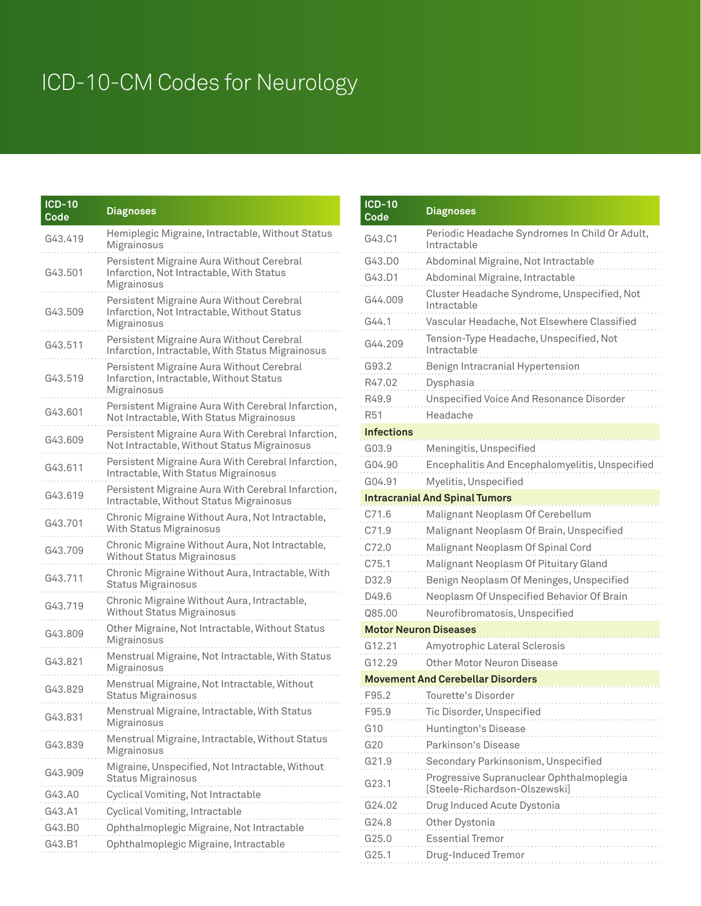## ICD-10-CM Codes for Neurology

| <b>ICD-10</b><br>Code | <b>Diagnoses</b>                                                                                        |
|-----------------------|---------------------------------------------------------------------------------------------------------|
| G43.419               | Hemiplegic Migraine, Intractable, Without Status<br>Migrainosus                                         |
| G43.501               | Persistent Migraine Aura Without Cerebral<br>Infarction, Not Intractable, With Status<br>Migrainosus    |
| G43.509               | Persistent Migraine Aura Without Cerebral<br>Infarction, Not Intractable, Without Status<br>Migrainosus |
| G43.511               | Persistent Migraine Aura Without Cerebral<br>Infarction, Intractable, With Status Migrainosus           |
| G43.519               | Persistent Migraine Aura Without Cerebral<br>Infarction, Intractable, Without Status<br>Migrainosus     |
| G43.601               | Persistent Migraine Aura With Cerebral Infarction,<br>Not Intractable, With Status Migrainosus          |
| G43.609               | Persistent Migraine Aura With Cerebral Infarction,<br>Not Intractable, Without Status Migrainosus       |
| G43.611               | Persistent Migraine Aura With Cerebral Infarction,<br>Intractable, With Status Migrainosus              |
| G43.619               | Persistent Migraine Aura With Cerebral Infarction,<br>Intractable, Without Status Migrainosus           |
| G43.701               | Chronic Migraine Without Aura, Not Intractable,<br><b>With Status Migrainosus</b>                       |
| G43.709               | Chronic Migraine Without Aura, Not Intractable,<br><b>Without Status Migrainosus</b>                    |
| G43.711               | Chronic Migraine Without Aura, Intractable, With<br><b>Status Migrainosus</b>                           |
| G43.719               | Chronic Migraine Without Aura, Intractable,<br><b>Without Status Migrainosus</b>                        |
| G43.809               | Other Migraine, Not Intractable, Without Status<br>Migrainosus                                          |
| G43.821               | Menstrual Migraine, Not Intractable, With Status<br>Migrainosus                                         |
| G43.829               | Menstrual Migraine, Not Intractable, Without<br><b>Status Migrainosus</b>                               |
| G43.831               | Menstrual Migraine, Intractable, With Status<br>Migrainosus                                             |
| G43.839               | Menstrual Migraine, Intractable, Without Status<br>Migrainosus                                          |
| G43.909               | Migraine, Unspecified, Not Intractable, Without<br><b>Status Migrainosus</b>                            |
| G43.A0                | Cyclical Vomiting, Not Intractable                                                                      |
| G43.A1                | Cyclical Vomiting, Intractable                                                                          |
| G43.B0                | Ophthalmoplegic Migraine, Not Intractable                                                               |
| G43.B1                | Ophthalmoplegic Migraine, Intractable                                                                   |

| <b>ICD-10</b><br>Code | <b>Diagnoses</b>                                                          |
|-----------------------|---------------------------------------------------------------------------|
| G43.C1                | Periodic Headache Syndromes In Child Or Adult,<br>Intractable             |
| G43.D0                | Abdominal Migraine, Not Intractable                                       |
| G43.D1                | Abdominal Migraine, Intractable                                           |
| G44.009               | Cluster Headache Syndrome, Unspecified, Not<br>Intractable                |
| G44.1                 | Vascular Headache, Not Elsewhere Classified                               |
| G44.209               | Tension-Type Headache, Unspecified, Not<br>Intractable                    |
| G93.2                 | Benign Intracranial Hypertension                                          |
| R47.02                | Dysphasia                                                                 |
| R49.9                 | <b>Unspecified Voice And Resonance Disorder</b>                           |
| R51                   | Headache                                                                  |
| <b>Infections</b>     |                                                                           |
| G03.9                 | Meningitis, Unspecified                                                   |
| G04.90                | Encephalitis And Encephalomyelitis, Unspecified                           |
| G04.91                | Myelitis, Unspecified                                                     |
|                       | <b>Intracranial And Spinal Tumors</b>                                     |
| C71.6                 | Malignant Neoplasm Of Cerebellum                                          |
| C71.9                 | Malignant Neoplasm Of Brain, Unspecified                                  |
| C72.0                 | Malignant Neoplasm Of Spinal Cord                                         |
| C75.1                 | Malignant Neoplasm Of Pituitary Gland                                     |
| D32.9                 | Benign Neoplasm Of Meninges, Unspecified                                  |
| D49.6                 | Neoplasm Of Unspecified Behavior Of Brain                                 |
| Q85.00                | Neurofibromatosis, Unspecified                                            |
|                       | <b>Motor Neuron Diseases</b>                                              |
| G12.21                | Amyotrophic Lateral Sclerosis                                             |
| G12.29                | Other Motor Neuron Disease                                                |
|                       | <b>Movement And Cerebellar Disorders</b>                                  |
| F95.2                 | Tourette's Disorder                                                       |
| F95.9                 | Tic Disorder, Unspecified                                                 |
| G10                   | Huntington's Disease                                                      |
| G20                   | Parkinson's Disease                                                       |
| G21.9                 | Secondary Parkinsonism, Unspecified                                       |
| G23.1                 | Progressive Supranuclear Ophthalmoplegia<br>[Steele-Richardson-Olszewski] |
| G24.02                | Drug Induced Acute Dystonia                                               |
| G24.8                 | Other Dystonia                                                            |
| G25.0                 | <b>Essential Tremor</b>                                                   |
| G25.1                 | Drug-Induced Tremor                                                       |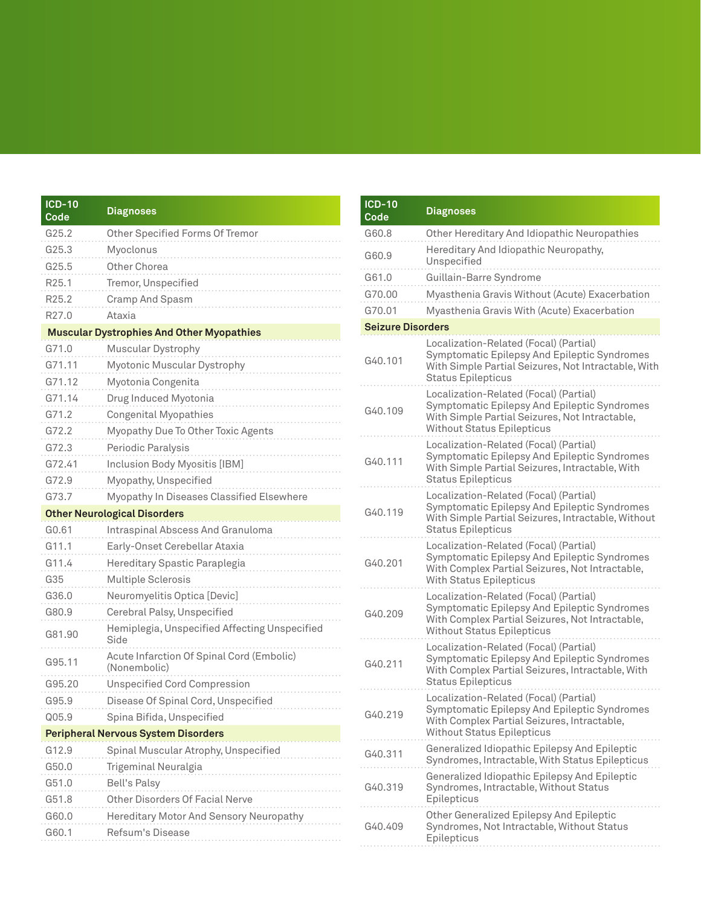| <b>ICD-10</b><br>Code | <b>Diagnoses</b>                                          |
|-----------------------|-----------------------------------------------------------|
| G25.2                 | Other Specified Forms Of Tremor                           |
| G25.3                 | Myoclonus                                                 |
| G25.5                 | Other Chorea                                              |
| R <sub>25.1</sub>     | Tremor, Unspecified                                       |
| R25.2                 | Cramp And Spasm                                           |
| R <sub>27.0</sub>     | Ataxia                                                    |
|                       | <b>Muscular Dystrophies And Other Myopathies</b>          |
| G71.0                 | Muscular Dystrophy                                        |
| G71.11                | Myotonic Muscular Dystrophy                               |
| G71.12                | Myotonia Congenita                                        |
| G71.14                | Drug Induced Myotonia                                     |
| G71.2                 | <b>Congenital Myopathies</b>                              |
| G72.2                 | Myopathy Due To Other Toxic Agents                        |
| G72.3                 | Periodic Paralysis                                        |
| G72.41                | Inclusion Body Myositis [IBM]                             |
| G72.9                 | Myopathy, Unspecified                                     |
| G73.7                 | Myopathy In Diseases Classified Elsewhere                 |
|                       | <b>Other Neurological Disorders</b>                       |
| G0.61                 | <b>Intraspinal Abscess And Granuloma</b>                  |
| G11.1                 | Early-Onset Cerebellar Ataxia                             |
| G11.4                 | Hereditary Spastic Paraplegia                             |
| G35                   | Multiple Sclerosis                                        |
| G36.0                 | Neuromyelitis Optica [Devic]                              |
| G80.9                 | Cerebral Palsy, Unspecified                               |
| G81.90                | Hemiplegia, Unspecified Affecting Unspecified<br>Side     |
| G95.11                | Acute Infarction Of Spinal Cord (Embolic)<br>(Nonembolic) |
| G95.20                | <b>Unspecified Cord Compression</b>                       |
| G95.9                 | Disease Of Spinal Cord, Unspecified                       |
| Q05.9                 | Spina Bifida, Unspecified                                 |
|                       | <b>Peripheral Nervous System Disorders</b>                |
| G12.9                 | Spinal Muscular Atrophy, Unspecified                      |
| G50.0                 | Trigeminal Neuralgia                                      |
| G51.0                 | <b>Bell's Palsy</b>                                       |
| G51.8                 | Other Disorders Of Facial Nerve                           |
| G60.0                 | Hereditary Motor And Sensory Neuropathy                   |
| G60.1                 | Refsum's Disease                                          |

| <b>ICD-10</b><br>Code    | <b>Diagnoses</b>                                                                                                                                                               |
|--------------------------|--------------------------------------------------------------------------------------------------------------------------------------------------------------------------------|
| G60.8                    | Other Hereditary And Idiopathic Neuropathies                                                                                                                                   |
| G60.9                    | Hereditary And Idiopathic Neuropathy,<br>Unspecified                                                                                                                           |
| G61.0                    | Guillain-Barre Syndrome                                                                                                                                                        |
| G70.00                   | Myasthenia Gravis Without (Acute) Exacerbation                                                                                                                                 |
| G70.01                   | Myasthenia Gravis With (Acute) Exacerbation                                                                                                                                    |
| <b>Seizure Disorders</b> |                                                                                                                                                                                |
| G40.101                  | Localization-Related (Focal) (Partial)<br>Symptomatic Epilepsy And Epileptic Syndromes<br>With Simple Partial Seizures, Not Intractable, With<br><b>Status Epilepticus</b>     |
| G40.109                  | Localization-Related (Focal) (Partial)<br>Symptomatic Epilepsy And Epileptic Syndromes<br>With Simple Partial Seizures, Not Intractable,<br><b>Without Status Epilepticus</b>  |
| G40.111                  | Localization-Related (Focal) (Partial)<br>Symptomatic Epilepsy And Epileptic Syndromes<br>With Simple Partial Seizures, Intractable, With<br><b>Status Epilepticus</b>         |
| G40.119                  | Localization-Related (Focal) (Partial)<br>Symptomatic Epilepsy And Epileptic Syndromes<br>With Simple Partial Seizures, Intractable, Without<br><b>Status Epilepticus</b>      |
| G40.201                  | Localization-Related (Focal) (Partial)<br>Symptomatic Epilepsy And Epileptic Syndromes<br>With Complex Partial Seizures, Not Intractable,<br><b>With Status Epilepticus</b>    |
| G40.209                  | Localization-Related (Focal) (Partial)<br>Symptomatic Epilepsy And Epileptic Syndromes<br>With Complex Partial Seizures, Not Intractable,<br><b>Without Status Epilepticus</b> |
| G40.211                  | Localization-Related (Focal) (Partial)<br>Symptomatic Epilepsy And Epileptic Syndromes<br>With Complex Partial Seizures, Intractable, With<br><b>Status Epilepticus</b>        |
| G40.219                  | Localization-Related (Focal) (Partial)<br>Symptomatic Epilepsy And Epileptic Syndromes<br>With Complex Partial Seizures, Intractable,<br><b>Without Status Epilepticus</b>     |
| G40.311                  | Generalized Idiopathic Epilepsy And Epileptic<br>Syndromes, Intractable, With Status Epilepticus                                                                               |
| G40.319                  | Generalized Idiopathic Epilepsy And Epileptic<br>Syndromes, Intractable, Without Status<br>Epilepticus                                                                         |
| G40.409                  | Other Generalized Epilepsy And Epileptic<br>Syndromes, Not Intractable, Without Status<br>Epilepticus                                                                          |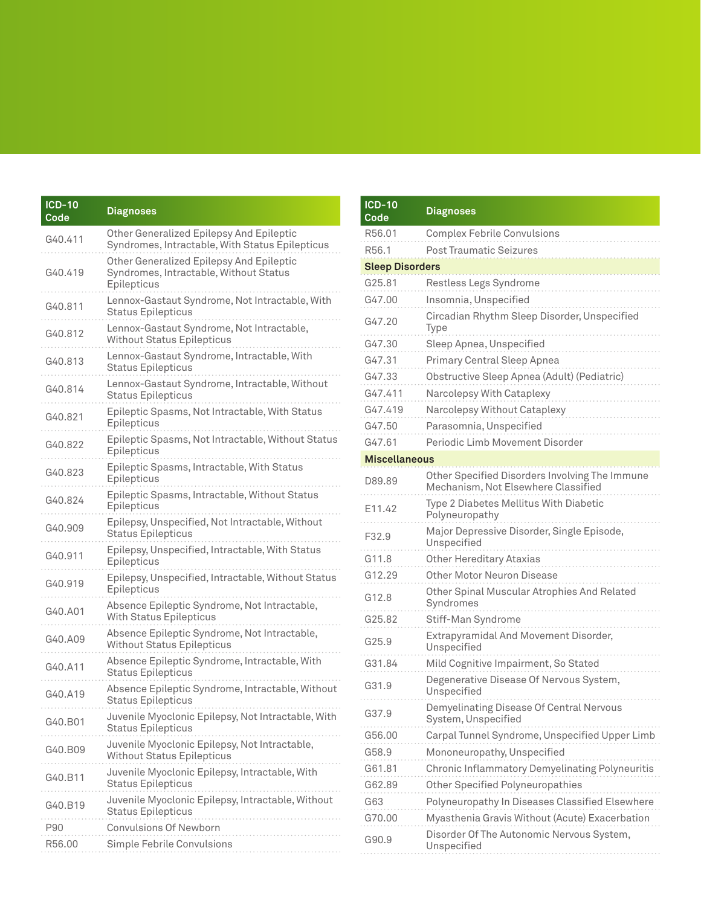| <b>ICD-10</b><br>Code | <b>Diagnoses</b>                                                                                  |
|-----------------------|---------------------------------------------------------------------------------------------------|
| G40.411               | Other Generalized Epilepsy And Epileptic<br>Syndromes, Intractable, With Status Epilepticus       |
| G <sub>40.419</sub>   | Other Generalized Epilepsy And Epileptic<br>Syndromes, Intractable, Without Status<br>Epilepticus |
| G40.811               | Lennox-Gastaut Syndrome, Not Intractable, With<br><b>Status Epilepticus</b>                       |
| G40.812               | Lennox-Gastaut Syndrome, Not Intractable,<br><b>Without Status Epilepticus</b>                    |
| G40.813               | Lennox-Gastaut Syndrome, Intractable, With<br><b>Status Epilepticus</b>                           |
| G40.814               | Lennox-Gastaut Syndrome, Intractable, Without<br><b>Status Epilepticus</b>                        |
| G40.821               | Epileptic Spasms, Not Intractable, With Status<br>Epilepticus                                     |
| G40.822               | Epileptic Spasms, Not Intractable, Without Status<br>Epilepticus                                  |
| G40.823               | Epileptic Spasms, Intractable, With Status<br>Epilepticus                                         |
| G40.824               | Epileptic Spasms, Intractable, Without Status<br>Epilepticus                                      |
| G40.909               | Epilepsy, Unspecified, Not Intractable, Without<br><b>Status Epilepticus</b>                      |
| G40.911               | Epilepsy, Unspecified, Intractable, With Status<br>Epilepticus                                    |
| G40.919               | Epilepsy, Unspecified, Intractable, Without Status<br>Epilepticus                                 |
| G40.A01               | Absence Epileptic Syndrome, Not Intractable,<br><b>With Status Epilepticus</b>                    |
| G40.A09               | Absence Epileptic Syndrome, Not Intractable,<br><b>Without Status Epilepticus</b>                 |
| G40.A11               | Absence Epileptic Syndrome, Intractable, With<br><b>Status Epilepticus</b>                        |
| G40.A19               | Absence Epileptic Syndrome, Intractable, Without<br><b>Status Epilepticus</b>                     |
| G40.B01               | Juvenile Myoclonic Epilepsy, Not Intractable, With<br><b>Status Epilepticus</b>                   |
| G40.B09               | Juvenile Myoclonic Epilepsy, Not Intractable,<br><b>Without Status Epilepticus</b>                |
| G40.B11               | Juvenile Myoclonic Epilepsy, Intractable, With<br><b>Status Epilepticus</b>                       |
| G40.B19               | Juvenile Myoclonic Epilepsy, Intractable, Without<br><b>Status Epilepticus</b>                    |
| P90                   | <b>Convulsions Of Newborn</b>                                                                     |
| R56.00                | Simple Febrile Convulsions                                                                        |

| $ICD-10$<br>Code       | <b>Diagnoses</b>                                                                      |
|------------------------|---------------------------------------------------------------------------------------|
| R56.01                 | <b>Complex Febrile Convulsions</b>                                                    |
| R56.1                  | <b>Post Traumatic Seizures</b>                                                        |
| <b>Sleep Disorders</b> |                                                                                       |
| G25.81                 | Restless Legs Syndrome                                                                |
| G47.00                 | Insomnia, Unspecified                                                                 |
| G47.20                 | Circadian Rhythm Sleep Disorder, Unspecified<br>Type                                  |
| G47.30                 | Sleep Apnea, Unspecified                                                              |
| G47.31                 | Primary Central Sleep Apnea                                                           |
| G47.33                 | Obstructive Sleep Apnea (Adult) (Pediatric)                                           |
| G47.411                | Narcolepsy With Cataplexy                                                             |
| G47.419                | Narcolepsy Without Cataplexy                                                          |
| G47.50                 | Parasomnia, Unspecified                                                               |
| G47.61                 | Periodic Limb Movement Disorder                                                       |
| <b>Miscellaneous</b>   |                                                                                       |
| D89.89                 | Other Specified Disorders Involving The Immune<br>Mechanism, Not Elsewhere Classified |
| E11.42                 | Type 2 Diabetes Mellitus With Diabetic<br>Polyneuropathy                              |
| F32.9                  | Major Depressive Disorder, Single Episode,<br>Unspecified                             |
| G11.8                  | <b>Other Hereditary Ataxias</b>                                                       |
| G12.29                 | Other Motor Neuron Disease                                                            |
| G12.8                  | Other Spinal Muscular Atrophies And Related<br>Syndromes                              |
| G25.82                 | Stiff-Man Syndrome                                                                    |
| G25.9                  | Extrapyramidal And Movement Disorder,<br>Unspecified                                  |
| G31.84                 | Mild Cognitive Impairment, So Stated                                                  |
| G31.9                  | Degenerative Disease Of Nervous System,<br>Unspecified                                |
| G37.9                  | Demyelinating Disease Of Central Nervous<br>System, Unspecified                       |
| G56.00                 | Carpal Tunnel Syndrome, Unspecified Upper Limb                                        |
| G58.9                  | Mononeuropathy, Unspecified                                                           |
| G61.81                 | Chronic Inflammatory Demyelinating Polyneuritis                                       |
| G62.89                 | <b>Other Specified Polyneuropathies</b>                                               |
| G63                    | Polyneuropathy In Diseases Classified Elsewhere                                       |
| G70.00                 | Myasthenia Gravis Without (Acute) Exacerbation                                        |
| G90.9                  | Disorder Of The Autonomic Nervous System,<br>Unspecified                              |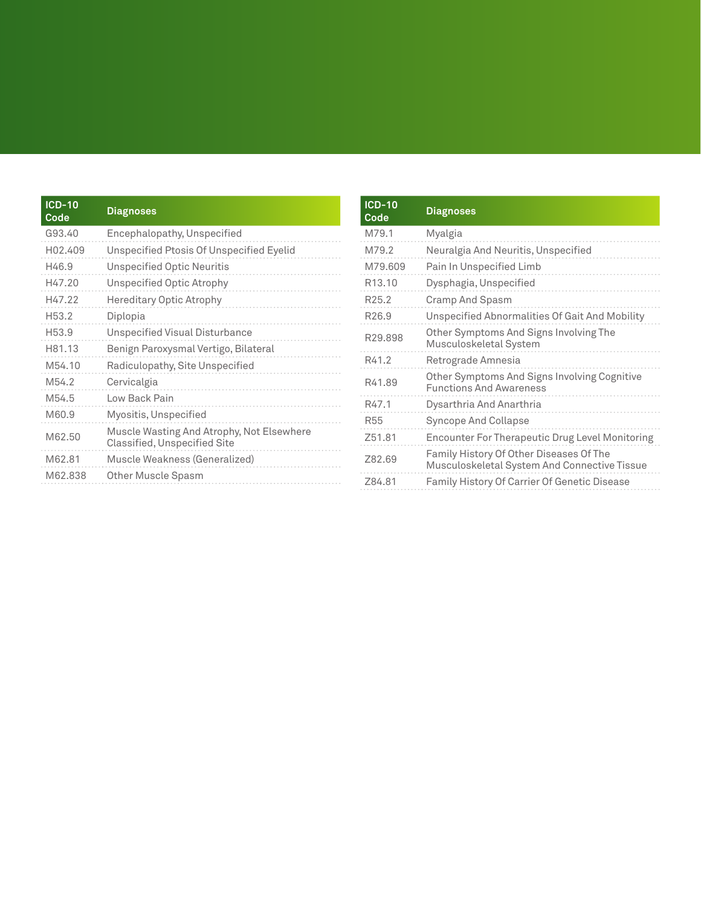| <b>ICD-10</b><br>Code | <b>Diagnoses</b>                                                          |
|-----------------------|---------------------------------------------------------------------------|
| G93.40                | Encephalopathy, Unspecified                                               |
| H <sub>02</sub> .409  | Unspecified Ptosis Of Unspecified Eyelid                                  |
| H46.9                 | <b>Unspecified Optic Neuritis</b>                                         |
| H47.20                | <b>Unspecified Optic Atrophy</b>                                          |
| H47.22                | <b>Hereditary Optic Atrophy</b>                                           |
| H53.2                 | Diplopia                                                                  |
| H <sub>53.9</sub>     | Unspecified Visual Disturbance                                            |
| H81.13                | Benign Paroxysmal Vertigo, Bilateral                                      |
| M54.10                | Radiculopathy, Site Unspecified                                           |
| M54.2                 | Cervicalgia                                                               |
| M54.5                 | Low Back Pain                                                             |
| M60.9                 | Myositis, Unspecified                                                     |
| M62.50                | Muscle Wasting And Atrophy, Not Elsewhere<br>Classified, Unspecified Site |
| M62.81                | Muscle Weakness (Generalized)                                             |
| M62.838               | Other Muscle Spasm                                                        |

| <b>ICD-10</b><br>Code | <b>Diagnoses</b>                                                                        |
|-----------------------|-----------------------------------------------------------------------------------------|
| M79.1                 | Myalgia                                                                                 |
| M79.2                 | Neuralgia And Neuritis, Unspecified                                                     |
| M79.609               | Pain In Unspecified Limb                                                                |
| R <sub>13.10</sub>    | Dysphagia, Unspecified                                                                  |
| R <sub>25.2</sub>     | Cramp And Spasm                                                                         |
| R <sub>26.9</sub>     | Unspecified Abnormalities Of Gait And Mobility                                          |
| R29.898               | Other Symptoms And Signs Involving The<br>Musculoskeletal System                        |
| R41.2                 | Retrograde Amnesia                                                                      |
| R41.89                | Other Symptoms And Signs Involving Cognitive<br><b>Functions And Awareness</b>          |
| R47.1                 | Dysarthria And Anarthria                                                                |
| R55                   | Syncope And Collapse                                                                    |
| Z51.81                | Encounter For Therapeutic Drug Level Monitoring                                         |
| 782.69                | Family History Of Other Diseases Of The<br>Musculoskeletal System And Connective Tissue |
| Z84.81                | Family History Of Carrier Of Genetic Disease                                            |